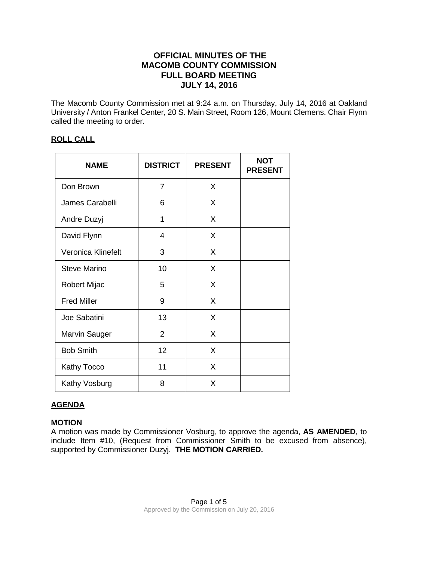# **OFFICIAL MINUTES OF THE MACOMB COUNTY COMMISSION FULL BOARD MEETING JULY 14, 2016**

The Macomb County Commission met at 9:24 a.m. on Thursday, July 14, 2016 at Oakland University / Anton Frankel Center, 20 S. Main Street, Room 126, Mount Clemens. Chair Flynn called the meeting to order.

#### **ROLL CALL**

| <b>NAME</b>          | <b>DISTRICT</b> | <b>PRESENT</b> | <b>NOT</b><br><b>PRESENT</b> |
|----------------------|-----------------|----------------|------------------------------|
| Don Brown            | $\overline{7}$  | X              |                              |
| James Carabelli      | 6               | X              |                              |
| Andre Duzyj          | 1               | X              |                              |
| David Flynn          | 4               | X              |                              |
| Veronica Klinefelt   | 3               | X              |                              |
| <b>Steve Marino</b>  | 10              | X              |                              |
| Robert Mijac         | 5               | X              |                              |
| <b>Fred Miller</b>   | 9               | X              |                              |
| Joe Sabatini         | 13              | X              |                              |
| <b>Marvin Sauger</b> | $\overline{2}$  | X              |                              |
| <b>Bob Smith</b>     | 12              | X              |                              |
| Kathy Tocco          | 11              | X              |                              |
| Kathy Vosburg        | 8               | X              |                              |

## **AGENDA**

## **MOTION**

A motion was made by Commissioner Vosburg, to approve the agenda, **AS AMENDED**, to include Item #10, (Request from Commissioner Smith to be excused from absence), supported by Commissioner Duzyj. **THE MOTION CARRIED.**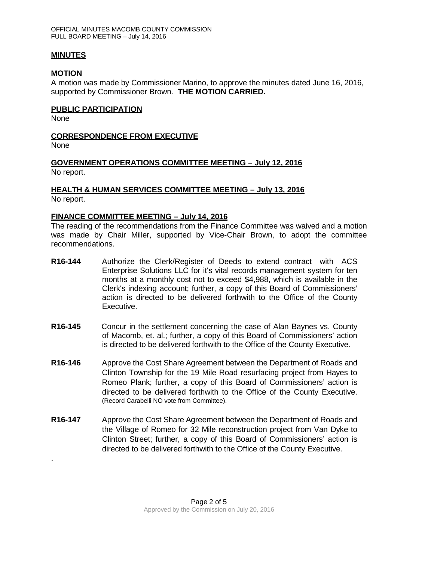#### **MINUTES**

#### **MOTION**

A motion was made by Commissioner Marino, to approve the minutes dated June 16, 2016, supported by Commissioner Brown. **THE MOTION CARRIED.**

#### **PUBLIC PARTICIPATION**

None

#### **CORRESPONDENCE FROM EXECUTIVE**

None

.

#### **GOVERNMENT OPERATIONS COMMITTEE MEETING – July 12, 2016** No report.

#### **HEALTH & HUMAN SERVICES COMMITTEE MEETING – July 13, 2016** No report.

#### **FINANCE COMMITTEE MEETING – July 14, 2016**

The reading of the recommendations from the Finance Committee was waived and a motion was made by Chair Miller, supported by Vice-Chair Brown, to adopt the committee recommendations.

- **R16-144** Authorize the Clerk/Register of Deeds to extend contract with ACS Enterprise Solutions LLC for it's vital records management system for ten months at a monthly cost not to exceed \$4,988, which is available in the Clerk's indexing account; further, a copy of this Board of Commissioners' action is directed to be delivered forthwith to the Office of the County Executive.
- **R16-145** Concur in the settlement concerning the case of Alan Baynes vs. County of Macomb, et. al.; further, a copy of this Board of Commissioners' action is directed to be delivered forthwith to the Office of the County Executive.
- **R16-146** Approve the Cost Share Agreement between the Department of Roads and Clinton Township for the 19 Mile Road resurfacing project from Hayes to Romeo Plank; further, a copy of this Board of Commissioners' action is directed to be delivered forthwith to the Office of the County Executive. (Record Carabelli NO vote from Committee).
- **R16-147** Approve the Cost Share Agreement between the Department of Roads and the Village of Romeo for 32 Mile reconstruction project from Van Dyke to Clinton Street; further, a copy of this Board of Commissioners' action is directed to be delivered forthwith to the Office of the County Executive.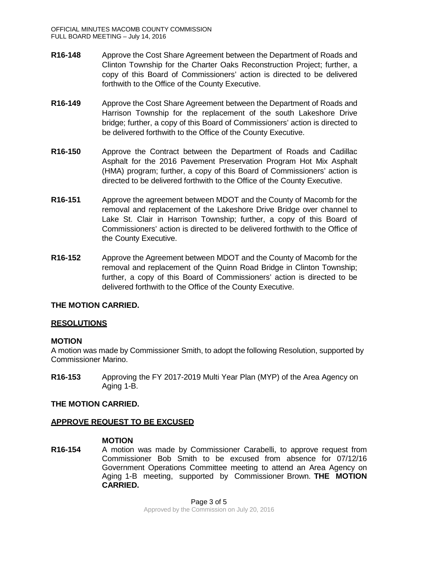- **R16-148** Approve the Cost Share Agreement between the Department of Roads and Clinton Township for the Charter Oaks Reconstruction Project; further, a copy of this Board of Commissioners' action is directed to be delivered forthwith to the Office of the County Executive.
- **R16-149** Approve the Cost Share Agreement between the Department of Roads and Harrison Township for the replacement of the south Lakeshore Drive bridge; further, a copy of this Board of Commissioners' action is directed to be delivered forthwith to the Office of the County Executive.
- **R16-150** Approve the Contract between the Department of Roads and Cadillac Asphalt for the 2016 Pavement Preservation Program Hot Mix Asphalt (HMA) program; further, a copy of this Board of Commissioners' action is directed to be delivered forthwith to the Office of the County Executive.
- **R16-151** Approve the agreement between MDOT and the County of Macomb for the removal and replacement of the Lakeshore Drive Bridge over channel to Lake St. Clair in Harrison Township; further, a copy of this Board of Commissioners' action is directed to be delivered forthwith to the Office of the County Executive.
- **R16-152** Approve the Agreement between MDOT and the County of Macomb for the removal and replacement of the Quinn Road Bridge in Clinton Township; further, a copy of this Board of Commissioners' action is directed to be delivered forthwith to the Office of the County Executive.

## **THE MOTION CARRIED.**

## **RESOLUTIONS**

## **MOTION**

A motion was made by Commissioner Smith, to adopt the following Resolution, supported by Commissioner Marino.

**R16-153** Approving the FY 2017-2019 Multi Year Plan (MYP) of the Area Agency on Aging 1-B.

## **THE MOTION CARRIED.**

## **APPROVE REQUEST TO BE EXCUSED**

## **MOTION**

**R16-154** A motion was made by Commissioner Carabelli, to approve request from Commissioner Bob Smith to be excused from absence for 07/12/16 Government Operations Committee meeting to attend an Area Agency on Aging 1-B meeting, supported by Commissioner Brown. **THE MOTION CARRIED.**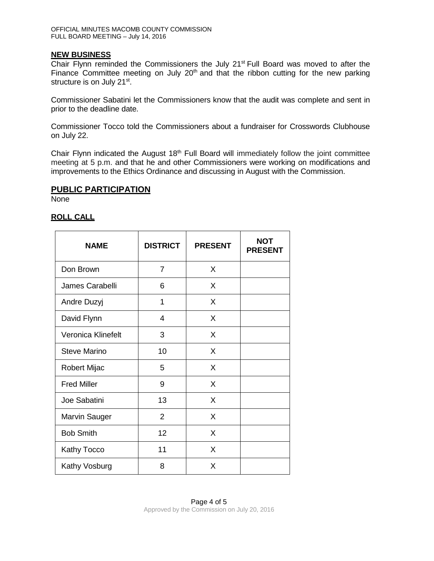#### **NEW BUSINESS**

Chair Flynn reminded the Commissioners the July 21<sup>st</sup> Full Board was moved to after the Finance Committee meeting on July  $20<sup>th</sup>$  and that the ribbon cutting for the new parking structure is on July 21<sup>st</sup>.

Commissioner Sabatini let the Commissioners know that the audit was complete and sent in prior to the deadline date.

Commissioner Tocco told the Commissioners about a fundraiser for Crosswords Clubhouse on July 22.

Chair Flynn indicated the August  $18<sup>th</sup>$  Full Board will immediately follow the joint committee meeting at 5 p.m. and that he and other Commissioners were working on modifications and improvements to the Ethics Ordinance and discussing in August with the Commission.

#### **PUBLIC PARTICIPATION**

None

## **ROLL CALL**

| <b>NAME</b>         | <b>DISTRICT</b> | <b>PRESENT</b> | NOT<br><b>PRESENT</b> |
|---------------------|-----------------|----------------|-----------------------|
| Don Brown           | $\overline{7}$  | X              |                       |
| James Carabelli     | 6               | X              |                       |
| Andre Duzyj         | 1               | X              |                       |
| David Flynn         | 4               | X              |                       |
| Veronica Klinefelt  | 3               | X              |                       |
| <b>Steve Marino</b> | 10              | X              |                       |
| Robert Mijac        | 5               | X              |                       |
| <b>Fred Miller</b>  | 9               | X              |                       |
| Joe Sabatini        | 13              | X              |                       |
| Marvin Sauger       | $\overline{2}$  | X              |                       |
| <b>Bob Smith</b>    | 12              | X              |                       |
| <b>Kathy Tocco</b>  | 11              | X              |                       |
| Kathy Vosburg       | 8               | X              |                       |